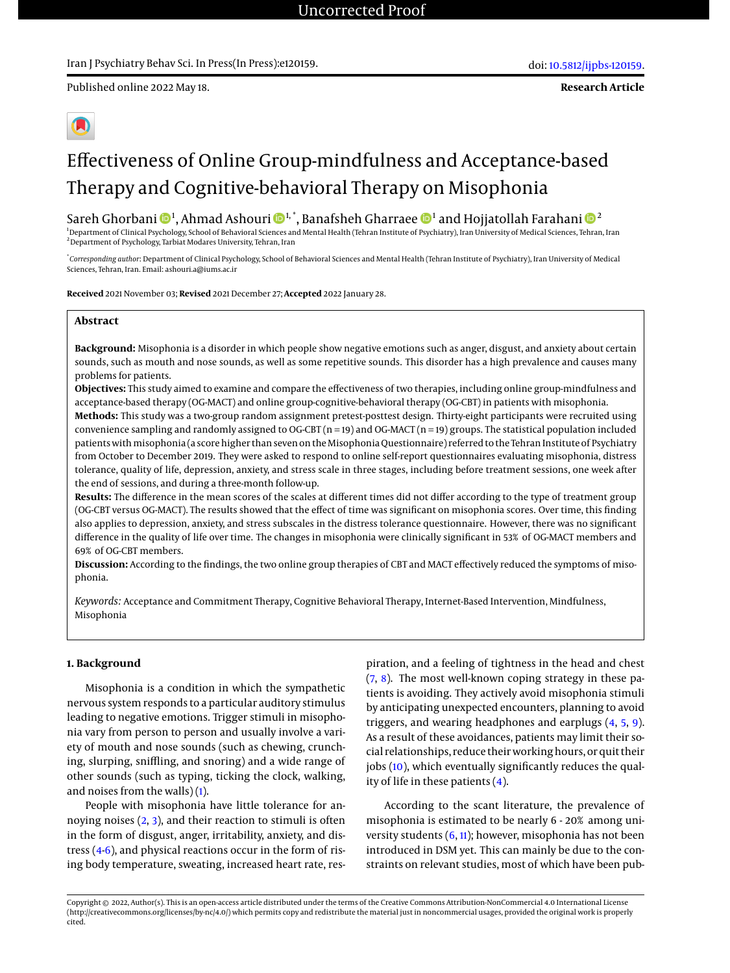Published online 2022 May 18.

**Research Article**



# Effectiveness of Online Group-mindfulness and Acceptance-based Therapy and Cognitive-behavioral Therapy on Misophonia

Sareh Ghorbani ��!, Ahmad Ashouri ���!\*, Banafsheh Gharraee �� ª and Hojjatollah Farahani ��

<sup>1</sup> Department of Clinical Psychology, School of Behavioral Sciences and Mental Health (Tehran Institute of Psychiatry), Iran University of Medical Sciences, Tehran, Iran <sup>2</sup>Department of Psychology, Tarbiat Modares University, Tehran, Iran

\* *Corresponding author*: Department of Clinical Psychology, School of Behavioral Sciences and Mental Health (Tehran Institute of Psychiatry), Iran University of Medical Sciences, Tehran, Iran. Email: ashouri.a@iums.ac.ir

**Received** 2021 November 03; **Revised** 2021 December 27; **Accepted** 2022 January 28.

# **Abstract**

**Background:** Misophonia is a disorder in which people show negative emotions such as anger, disgust, and anxiety about certain sounds, such as mouth and nose sounds, as well as some repetitive sounds. This disorder has a high prevalence and causes many problems for patients.

**Objectives:** This study aimed to examine and compare the effectiveness of two therapies, including online group-mindfulness and acceptance-based therapy (OG-MACT) and online group-cognitive-behavioral therapy (OG-CBT) in patients with misophonia.

**Methods:** This study was a two-group random assignment pretest-posttest design. Thirty-eight participants were recruited using convenience sampling and randomly assigned to OG-CBT (n = 19) and OG-MACT (n = 19) groups. The statistical population included patients with misophonia (a score higher than seven on the Misophonia Questionnaire) referred to the Tehran Institute of Psychiatry from October to December 2019. They were asked to respond to online self-report questionnaires evaluating misophonia, distress tolerance, quality of life, depression, anxiety, and stress scale in three stages, including before treatment sessions, one week after the end of sessions, and during a three-month follow-up.

**Results:** The difference in the mean scores of the scales at different times did not differ according to the type of treatment group (OG-CBT versus OG-MACT). The results showed that the effect of time was significant on misophonia scores. Over time, this finding also applies to depression, anxiety, and stress subscales in the distress tolerance questionnaire. However, there was no significant difference in the quality of life over time. The changes in misophonia were clinically significant in 53% of OG-MACT members and 69% of OG-CBT members.

**Discussion:** According to the findings, the two online group therapies of CBT and MACT effectively reduced the symptoms of misophonia.

*Keywords:* Acceptance and Commitment Therapy, Cognitive Behavioral Therapy, Internet-Based Intervention, Mindfulness, Misophonia

# **1. Background**

Misophonia is a condition in which the sympathetic nervous system responds to a particular auditory stimulus leading to negative emotions. Trigger stimuli in misophonia vary from person to person and usually involve a variety of mouth and nose sounds (such as chewing, crunching, slurping, sniffling, and snoring) and a wide range of other sounds (such as typing, ticking the clock, walking, and noises from the walls) [\(1\)](#page-8-0).

People with misophonia have little tolerance for annoying noises [\(2,](#page-8-1) [3\)](#page-8-2), and their reaction to stimuli is often in the form of disgust, anger, irritability, anxiety, and distress [\(4](#page-8-3)[-6\)](#page-8-4), and physical reactions occur in the form of rising body temperature, sweating, increased heart rate, res-

piration, and a feeling of tightness in the head and chest [\(7,](#page-8-5) [8\)](#page-8-6). The most well-known coping strategy in these patients is avoiding. They actively avoid misophonia stimuli by anticipating unexpected encounters, planning to avoid triggers, and wearing headphones and earplugs [\(4,](#page-8-3) [5,](#page-8-7) [9\)](#page-8-8). As a result of these avoidances, patients may limit their social relationships, reduce their working hours, or quit their jobs [\(10\)](#page-8-9), which eventually significantly reduces the quality of life in these patients [\(4\)](#page-8-3).

According to the scant literature, the prevalence of misophonia is estimated to be nearly 6 - 20% among university students  $(6, 11)$  $(6, 11)$  $(6, 11)$ ; however, misophonia has not been introduced in DSM yet. This can mainly be due to the constraints on relevant studies, most of which have been pub-

Copyright © 2022, Author(s). This is an open-access article distributed under the terms of the Creative Commons Attribution-NonCommercial 4.0 International License (http://creativecommons.org/licenses/by-nc/4.0/) which permits copy and redistribute the material just in noncommercial usages, provided the original work is properly cited.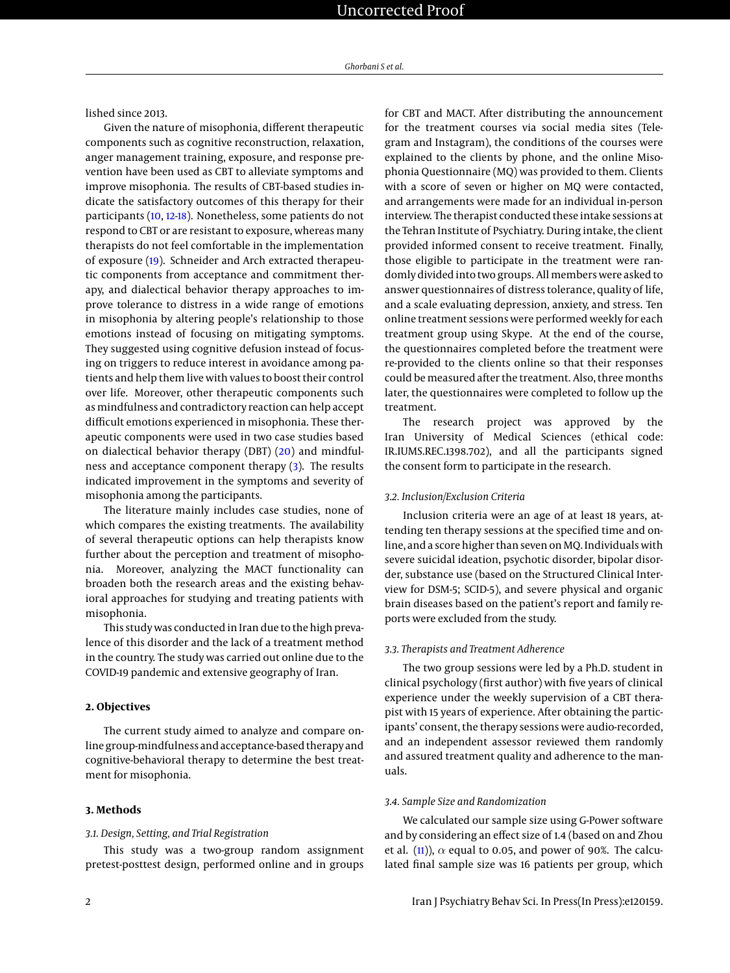lished since 2013.

Given the nature of misophonia, different therapeutic components such as cognitive reconstruction, relaxation, anger management training, exposure, and response prevention have been used as CBT to alleviate symptoms and improve misophonia. The results of CBT-based studies indicate the satisfactory outcomes of this therapy for their participants [\(10,](#page-8-9) [12](#page-8-11)[-18\)](#page-8-12). Nonetheless, some patients do not respond to CBT or are resistant to exposure, whereas many therapists do not feel comfortable in the implementation of exposure [\(19\)](#page-8-13). Schneider and Arch extracted therapeutic components from acceptance and commitment therapy, and dialectical behavior therapy approaches to improve tolerance to distress in a wide range of emotions in misophonia by altering people's relationship to those emotions instead of focusing on mitigating symptoms. They suggested using cognitive defusion instead of focusing on triggers to reduce interest in avoidance among patients and help them live with values to boost their control over life. Moreover, other therapeutic components such as mindfulness and contradictory reaction can help accept difficult emotions experienced in misophonia. These therapeutic components were used in two case studies based on dialectical behavior therapy (DBT) [\(20\)](#page-8-14) and mindfulness and acceptance component therapy [\(3\)](#page-8-2). The results indicated improvement in the symptoms and severity of misophonia among the participants.

The literature mainly includes case studies, none of which compares the existing treatments. The availability of several therapeutic options can help therapists know further about the perception and treatment of misophonia. Moreover, analyzing the MACT functionality can broaden both the research areas and the existing behavioral approaches for studying and treating patients with misophonia.

This study was conducted in Iran due to the high prevalence of this disorder and the lack of a treatment method in the country. The study was carried out online due to the COVID-19 pandemic and extensive geography of Iran.

# **2. Objectives**

The current study aimed to analyze and compare online group-mindfulness and acceptance-based therapy and cognitive-behavioral therapy to determine the best treatment for misophonia.

# **3. Methods**

#### *3.1. Design, Setting, and Trial Registration*

This study was a two-group random assignment pretest-posttest design, performed online and in groups

for CBT and MACT. After distributing the announcement for the treatment courses via social media sites (Telegram and Instagram), the conditions of the courses were explained to the clients by phone, and the online Misophonia Questionnaire (MQ) was provided to them. Clients with a score of seven or higher on MQ were contacted, and arrangements were made for an individual in-person interview. The therapist conducted these intake sessions at the Tehran Institute of Psychiatry. During intake, the client provided informed consent to receive treatment. Finally, those eligible to participate in the treatment were randomly divided into two groups. All members were asked to answer questionnaires of distress tolerance, quality of life, and a scale evaluating depression, anxiety, and stress. Ten online treatment sessions were performed weekly for each treatment group using Skype. At the end of the course, the questionnaires completed before the treatment were re-provided to the clients online so that their responses could be measured after the treatment. Also, three months later, the questionnaires were completed to follow up the treatment.

The research project was approved by the Iran University of Medical Sciences (ethical code: IR.IUMS.REC.1398.702), and all the participants signed the consent form to participate in the research.

# *3.2. Inclusion/Exclusion Criteria*

Inclusion criteria were an age of at least 18 years, attending ten therapy sessions at the specified time and online, and a score higher than seven on MQ. Individuals with severe suicidal ideation, psychotic disorder, bipolar disorder, substance use (based on the Structured Clinical Interview for DSM-5; SCID-5), and severe physical and organic brain diseases based on the patient's report and family reports were excluded from the study.

# *3.3. Therapists and Treatment Adherence*

The two group sessions were led by a Ph.D. student in clinical psychology (first author) with five years of clinical experience under the weekly supervision of a CBT therapist with 15 years of experience. After obtaining the participants' consent, the therapy sessions were audio-recorded, and an independent assessor reviewed them randomly and assured treatment quality and adherence to the manuals.

#### *3.4. Sample Size and Randomization*

We calculated our sample size using G-Power software and by considering an effect size of 1.4 (based on and Zhou et al. [\(11\)](#page-8-10)),  $\alpha$  equal to 0.05, and power of 90%. The calculated final sample size was 16 patients per group, which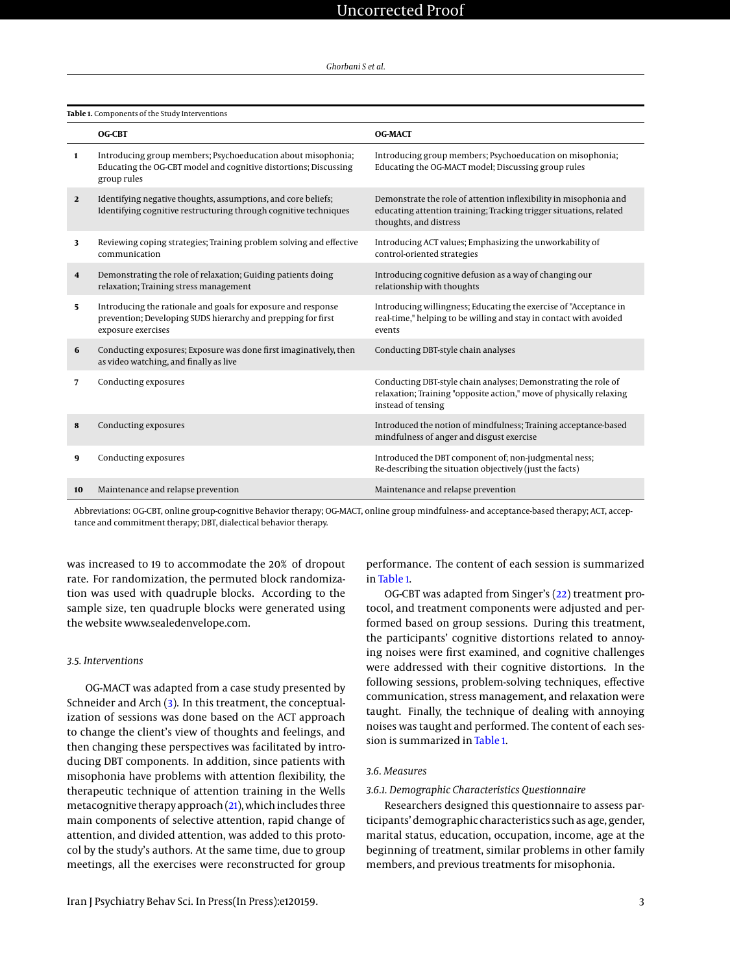<span id="page-2-0"></span>**Table 1.** Components of the Study Interventions

|                         | <b>OG-CBT</b>                                                                                                                                       | <b>OG-MACT</b>                                                                                                                                                    |
|-------------------------|-----------------------------------------------------------------------------------------------------------------------------------------------------|-------------------------------------------------------------------------------------------------------------------------------------------------------------------|
| $\mathbf{1}$            | Introducing group members; Psychoeducation about misophonia;<br>Educating the OG-CBT model and cognitive distortions; Discussing<br>group rules     | Introducing group members; Psychoeducation on misophonia;<br>Educating the OG-MACT model; Discussing group rules                                                  |
| $\overline{2}$          | Identifying negative thoughts, assumptions, and core beliefs;<br>Identifying cognitive restructuring through cognitive techniques                   | Demonstrate the role of attention inflexibility in misophonia and<br>educating attention training; Tracking trigger situations, related<br>thoughts, and distress |
| 3                       | Reviewing coping strategies; Training problem solving and effective<br>communication                                                                | Introducing ACT values; Emphasizing the unworkability of<br>control-oriented strategies                                                                           |
| $\overline{\mathbf{4}}$ | Demonstrating the role of relaxation; Guiding patients doing<br>relaxation; Training stress management                                              | Introducing cognitive defusion as a way of changing our<br>relationship with thoughts                                                                             |
| 5.                      | Introducing the rationale and goals for exposure and response<br>prevention; Developing SUDS hierarchy and prepping for first<br>exposure exercises | Introducing willingness; Educating the exercise of "Acceptance in<br>real-time," helping to be willing and stay in contact with avoided<br>events                 |
| 6                       | Conducting exposures; Exposure was done first imaginatively, then<br>as video watching, and finally as live                                         | Conducting DBT-style chain analyses                                                                                                                               |
| 7                       | Conducting exposures                                                                                                                                | Conducting DBT-style chain analyses; Demonstrating the role of<br>relaxation; Training "opposite action," move of physically relaxing<br>instead of tensing       |
| 8                       | Conducting exposures                                                                                                                                | Introduced the notion of mindfulness; Training acceptance-based<br>mindfulness of anger and disgust exercise                                                      |
| 9                       | Conducting exposures                                                                                                                                | Introduced the DBT component of; non-judgmental ness;<br>Re-describing the situation objectively (just the facts)                                                 |
| 10                      | Maintenance and relapse prevention                                                                                                                  | Maintenance and relapse prevention                                                                                                                                |

Abbreviations: OG-CBT, online group-cognitive Behavior therapy; OG-MACT, online group mindfulness- and acceptance-based therapy; ACT, acceptance and commitment therapy; DBT, dialectical behavior therapy.

was increased to 19 to accommodate the 20% of dropout rate. For randomization, the permuted block randomization was used with quadruple blocks. According to the sample size, ten quadruple blocks were generated using the website www.sealedenvelope.com.

#### *3.5. Interventions*

OG-MACT was adapted from a case study presented by Schneider and Arch [\(3\)](#page-8-2). In this treatment, the conceptualization of sessions was done based on the ACT approach to change the client's view of thoughts and feelings, and then changing these perspectives was facilitated by introducing DBT components. In addition, since patients with misophonia have problems with attention flexibility, the therapeutic technique of attention training in the Wells metacognitive therapy approach [\(21\)](#page-8-15), which includes three main components of selective attention, rapid change of attention, and divided attention, was added to this protocol by the study's authors. At the same time, due to group meetings, all the exercises were reconstructed for group

performance. The content of each session is summarized in [Table 1.](#page-2-0)

OG-CBT was adapted from Singer's [\(22\)](#page-8-16) treatment protocol, and treatment components were adjusted and performed based on group sessions. During this treatment, the participants' cognitive distortions related to annoying noises were first examined, and cognitive challenges were addressed with their cognitive distortions. In the following sessions, problem-solving techniques, effective communication, stress management, and relaxation were taught. Finally, the technique of dealing with annoying noises was taught and performed. The content of each session is summarized in [Table 1.](#page-2-0)

# *3.6. Measures*

# *3.6.1. Demographic Characteristics Questionnaire*

Researchers designed this questionnaire to assess participants' demographic characteristics such as age, gender, marital status, education, occupation, income, age at the beginning of treatment, similar problems in other family members, and previous treatments for misophonia.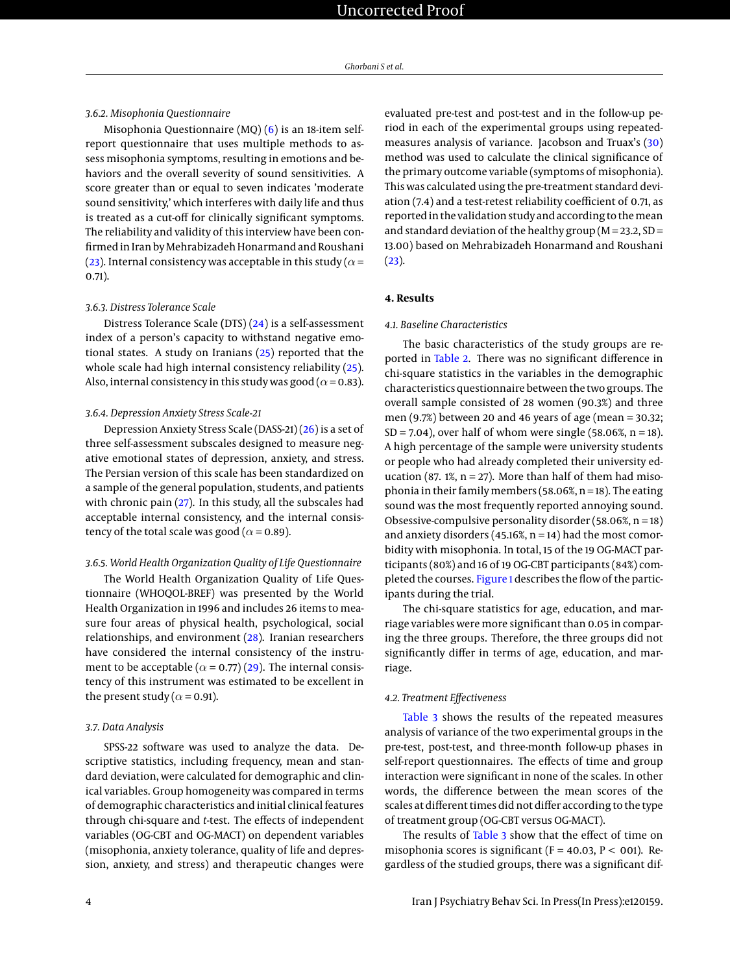#### *3.6.2. Misophonia Questionnaire*

Misophonia Questionnaire  $(MQ)$  [\(6\)](#page-8-4) is an 18-item selfreport questionnaire that uses multiple methods to assess misophonia symptoms, resulting in emotions and behaviors and the overall severity of sound sensitivities. A score greater than or equal to seven indicates 'moderate sound sensitivity,' which interferes with daily life and thus is treated as a cut-off for clinically significant symptoms. The reliability and validity of this interview have been confirmed in Iran by Mehrabizadeh Honarmand and Roushani [\(23\)](#page-8-17). Internal consistency was acceptable in this study ( $\alpha$  = 0.71).

# *3.6.3. Distress Tolerance Scale*

Distress Tolerance Scale **(**DTS) [\(24\)](#page-8-18) is a self-assessment index of a person's capacity to withstand negative emotional states. A study on Iranians [\(25\)](#page-8-19) reported that the whole scale had high internal consistency reliability [\(25\)](#page-8-19). Also, internal consistency in this study was good ( $\alpha$  = 0.83).

# *3.6.4. Depression Anxiety Stress Scale-21*

Depression Anxiety Stress Scale (DASS-21) [\(26\)](#page-8-20) is a set of three self-assessment subscales designed to measure negative emotional states of depression, anxiety, and stress. The Persian version of this scale has been standardized on a sample of the general population, students, and patients with chronic pain [\(27\)](#page-8-21). In this study, all the subscales had acceptable internal consistency, and the internal consistency of the total scale was good ( $\alpha$  = 0.89).

# *3.6.5. World Health Organization Quality of Life Questionnaire*

The World Health Organization Quality of Life Questionnaire (WHOQOL-BREF) was presented by the World Health Organization in 1996 and includes 26 items to measure four areas of physical health, psychological, social relationships, and environment [\(28\)](#page-9-0). Iranian researchers have considered the internal consistency of the instrument to be acceptable ( $\alpha$  = 0.77) [\(29\)](#page-9-1). The internal consistency of this instrument was estimated to be excellent in the present study ( $\alpha$  = 0.91).

#### *3.7. Data Analysis*

SPSS-22 software was used to analyze the data. Descriptive statistics, including frequency, mean and standard deviation, were calculated for demographic and clinical variables. Group homogeneity was compared in terms of demographic characteristics and initial clinical features through chi-square and *t*-test. The effects of independent variables (OG-CBT and OG-MACT) on dependent variables (misophonia, anxiety tolerance, quality of life and depression, anxiety, and stress) and therapeutic changes were

evaluated pre-test and post-test and in the follow-up period in each of the experimental groups using repeatedmeasures analysis of variance. Jacobson and Truax's [\(30\)](#page-9-2) method was used to calculate the clinical significance of the primary outcome variable (symptoms of misophonia). This was calculated using the pre-treatment standard deviation (7.4) and a test-retest reliability coefficient of 0.71, as reported in the validation study and according to the mean and standard deviation of the healthy group ( $M = 23.2$ ,  $SD =$ 13.00) based on Mehrabizadeh Honarmand and Roushani  $(23).$  $(23).$ 

# **4. Results**

# *4.1. Baseline Characteristics*

The basic characteristics of the study groups are reported in [Table 2.](#page-5-0) There was no significant difference in chi-square statistics in the variables in the demographic characteristics questionnaire between the two groups. The overall sample consisted of 28 women (90.3%) and three men (9.7%) between 20 and 46 years of age (mean = 30.32;  $SD = 7.04$ ), over half of whom were single (58.06%,  $n = 18$ ). A high percentage of the sample were university students or people who had already completed their university education (87. 1%,  $n = 27$ ). More than half of them had misophonia in their family members (58.06%,  $n = 18$ ). The eating sound was the most frequently reported annoying sound. Obsessive-compulsive personality disorder (58.06%, n = 18) and anxiety disorders (45.16%,  $n = 14$ ) had the most comorbidity with misophonia. In total, 15 of the 19 OG-MACT participants (80%) and 16 of 19 OG-CBT participants (84%) completed the courses. [Figure 1](#page-4-0) describes the flow of the participants during the trial.

The chi-square statistics for age, education, and marriage variables were more significant than 0.05 in comparing the three groups. Therefore, the three groups did not significantly differ in terms of age, education, and marriage.

# *4.2. Treatment Effectiveness*

[Table 3](#page-7-0) shows the results of the repeated measures analysis of variance of the two experimental groups in the pre-test, post-test, and three-month follow-up phases in self-report questionnaires. The effects of time and group interaction were significant in none of the scales. In other words, the difference between the mean scores of the scales at different times did not differ according to the type of treatment group (OG-CBT versus OG-MACT).

The results of [Table 3](#page-7-0) show that the effect of time on misophonia scores is significant ( $F = 40.03$ ,  $P < 001$ ). Regardless of the studied groups, there was a significant dif-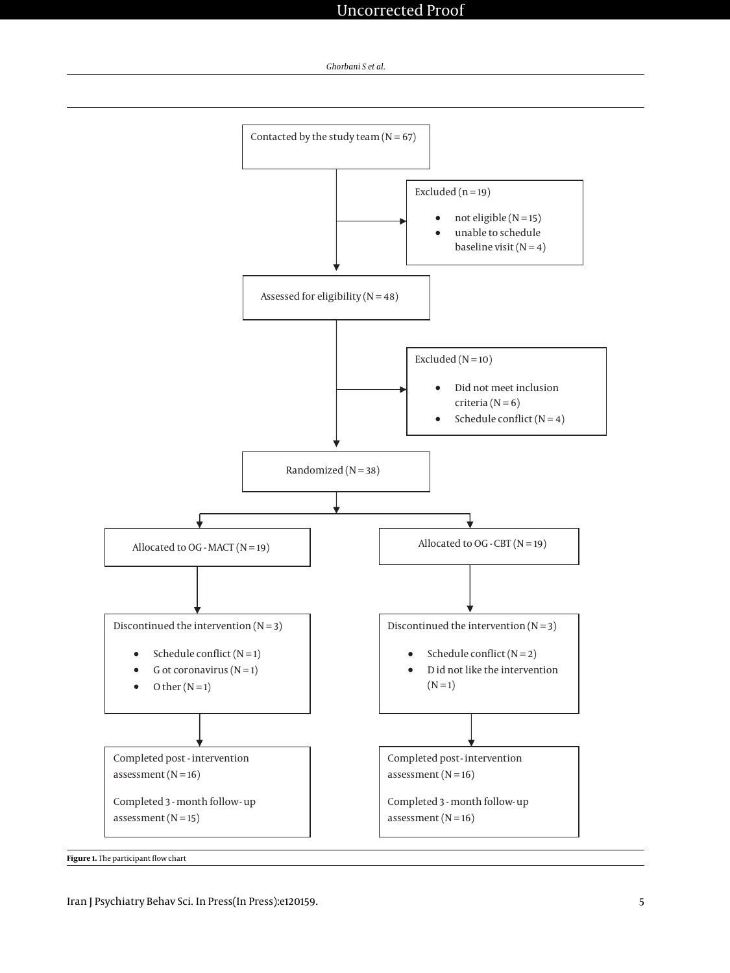

<span id="page-4-0"></span>

**Figure 1.** The participant flow chart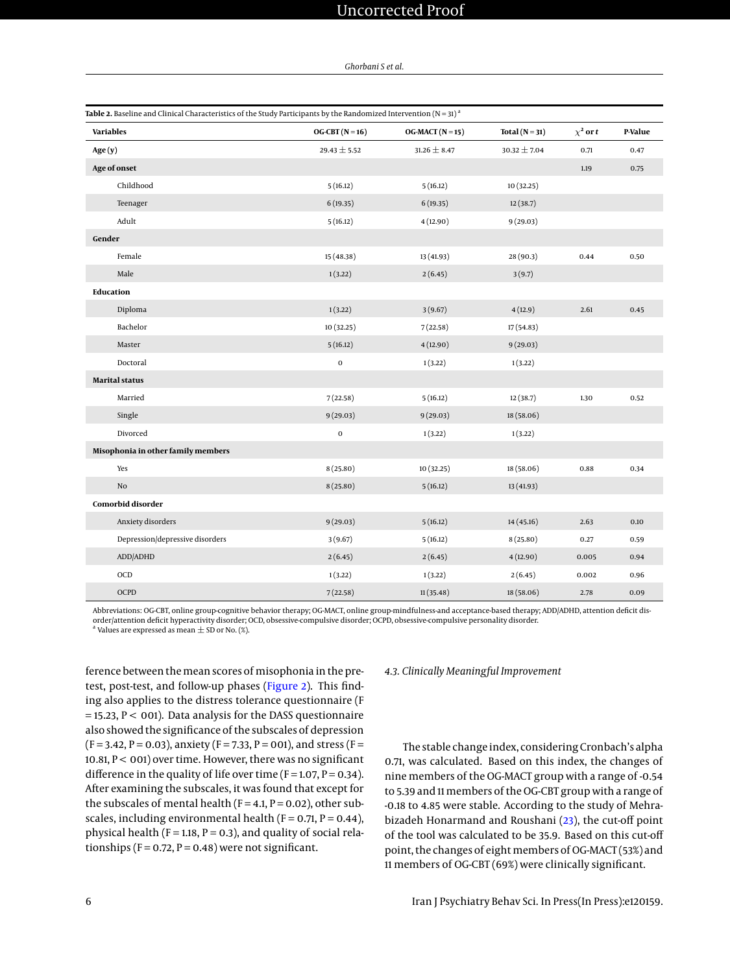# Uncorrected Proof

*Ghorbani S et al.*

<span id="page-5-0"></span>

| Table 2. Baseline and Clinical Characteristics of the Study Participants by the Randomized Intervention ( $N = 31$ ) <sup>a</sup> |                  |                  |                  |               |         |
|-----------------------------------------------------------------------------------------------------------------------------------|------------------|------------------|------------------|---------------|---------|
| <b>Variables</b>                                                                                                                  | $OG-CBT(N=16)$   | $OG-MACT(N=15)$  | Total $(N = 31)$ | $\chi^2$ or t | P-Value |
| Age(y)                                                                                                                            | $29.43 \pm 5.52$ | $31.26 \pm 8.47$ | $30.32 \pm 7.04$ | 0.71          | 0.47    |
| Age of onset                                                                                                                      |                  |                  |                  | 1.19          | 0.75    |
| Childhood                                                                                                                         | 5(16.12)         | 5(16.12)         | 10(32.25)        |               |         |
| Teenager                                                                                                                          | 6(19.35)         | 6(19.35)         | 12(38.7)         |               |         |
| Adult                                                                                                                             | 5(16.12)         | 4(12.90)         | 9(29.03)         |               |         |
| Gender                                                                                                                            |                  |                  |                  |               |         |
| Female                                                                                                                            | 15 (48.38)       | 13 (41.93)       | 28(90.3)         | 0.44          | 0.50    |
| Male                                                                                                                              | 1(3.22)          | 2(6.45)          | 3(9.7)           |               |         |
| <b>Education</b>                                                                                                                  |                  |                  |                  |               |         |
| Diploma                                                                                                                           | 1(3.22)          | 3(9.67)          | 4(12.9)          | 2.61          | 0.45    |
| Bachelor                                                                                                                          | 10 (32.25)       | 7(22.58)         | 17(54.83)        |               |         |
| Master                                                                                                                            | 5(16.12)         | 4(12.90)         | 9(29.03)         |               |         |
| Doctoral                                                                                                                          | $\boldsymbol{0}$ | 1(3.22)          | 1(3.22)          |               |         |
| <b>Marital status</b>                                                                                                             |                  |                  |                  |               |         |
| Married                                                                                                                           | 7(22.58)         | 5(16.12)         | 12(38.7)         | 1.30          | 0.52    |
| Single                                                                                                                            | 9(29.03)         | 9(29.03)         | 18 (58.06)       |               |         |
| Divorced                                                                                                                          | $\pmb{0}$        | 1(3.22)          | 1(3.22)          |               |         |
| Misophonia in other family members                                                                                                |                  |                  |                  |               |         |
| Yes                                                                                                                               | 8(25.80)         | 10 (32.25)       | 18 (58.06)       | 0.88          | 0.34    |
| $\rm No$                                                                                                                          | 8(25.80)         | 5(16.12)         | 13 (41.93)       |               |         |
| Comorbid disorder                                                                                                                 |                  |                  |                  |               |         |
| Anxiety disorders                                                                                                                 | 9(29.03)         | 5(16.12)         | 14(45.16)        | 2.63          | 0.10    |
| Depression/depressive disorders                                                                                                   | 3(9.67)          | 5(16.12)         | 8(25.80)         | 0.27          | 0.59    |
| ADD/ADHD                                                                                                                          | 2(6.45)          | 2(6.45)          | 4(12.90)         | 0.005         | 0.94    |
| OCD                                                                                                                               | 1(3.22)          | 1(3.22)          | 2(6.45)          | 0.002         | 0.96    |
| OCPD                                                                                                                              | 7(22.58)         | 11(35.48)        | 18 (58.06)       | 2.78          | 0.09    |

Abbreviations: OG-CBT, online group-cognitive behavior therapy; OG-MACT, online group-mindfulness-and acceptance-based therapy; ADD/ADHD, attention deficit disorder/attention deficit hyperactivity disorder; OCD, obsessive-compulsive disorder; OCPD, obsessive-compulsive personality disorder.<br>ª Volues are expressed as moap + SD or No. (%).

Values are expressed as mean  $\pm$  SD or No. (%).

ference between the mean scores of misophonia in the pretest, post-test, and follow-up phases [\(Figure 2\)](#page-6-0). This finding also applies to the distress tolerance questionnaire (F  $=$  15.23,  $P < 001$ ). Data analysis for the DASS questionnaire also showed the significance of the subscales of depression  $(F = 3.42, P = 0.03)$ , anxiety  $(F = 7.33, P = 001)$ , and stress  $(F = 1.42, P = 0.03)$ 10.81,  $P < 001$ ) over time. However, there was no significant difference in the quality of life over time ( $F = 1.07$ ,  $P = 0.34$ ). After examining the subscales, it was found that except for the subscales of mental health ( $F = 4.1$ ,  $P = 0.02$ ), other subscales, including environmental health ( $F = 0.71$ ,  $P = 0.44$ ), physical health ( $F = 1.18$ ,  $P = 0.3$ ), and quality of social relationships ( $F = 0.72$ ,  $P = 0.48$ ) were not significant.

# *4.3. Clinically Meaningful Improvement*

The stable change index, considering Cronbach's alpha 0.71, was calculated. Based on this index, the changes of nine members of the OG-MACT group with a range of -0.54 to 5.39 and 11 members of the OG-CBT group with a range of -0.18 to 4.85 were stable. According to the study of Mehrabizadeh Honarmand and Roushani [\(23\)](#page-8-17), the cut-off point of the tool was calculated to be 35.9. Based on this cut-off point, the changes of eight members of OG-MACT (53%) and 11 members of OG-CBT (69%) were clinically significant.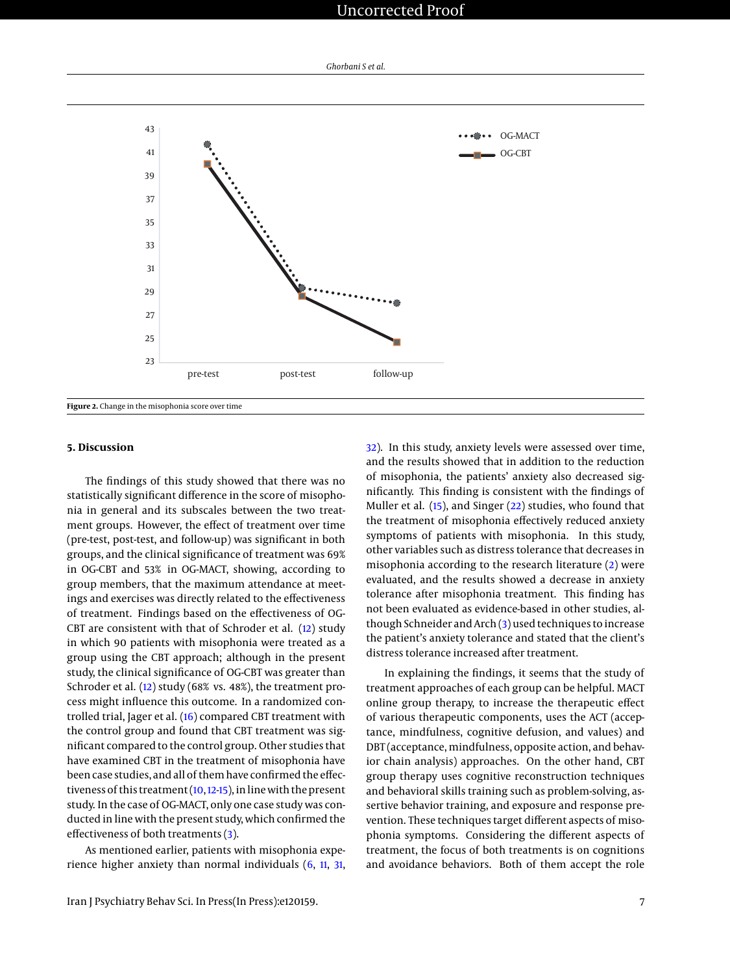# Uncorrected Proof



<span id="page-6-0"></span>

# **5. Discussion**

The findings of this study showed that there was no statistically significant difference in the score of misophonia in general and its subscales between the two treatment groups. However, the effect of treatment over time (pre-test, post-test, and follow-up) was significant in both groups, and the clinical significance of treatment was 69% in OG-CBT and 53% in OG-MACT, showing, according to group members, that the maximum attendance at meetings and exercises was directly related to the effectiveness of treatment. Findings based on the effectiveness of OG-CBT are consistent with that of Schroder et al. [\(12\)](#page-8-11) study in which 90 patients with misophonia were treated as a group using the CBT approach; although in the present study, the clinical significance of OG-CBT was greater than Schroder et al. [\(12\)](#page-8-11) study (68% vs. 48%), the treatment process might influence this outcome. In a randomized controlled trial, Jager et al. [\(16\)](#page-8-22) compared CBT treatment with the control group and found that CBT treatment was significant compared to the control group. Other studies that have examined CBT in the treatment of misophonia have been case studies, and all of them have confirmed the effectiveness of this treatment [\(10,](#page-8-9)[12](#page-8-11)[-15\)](#page-8-23), in line with the present study. In the case of OG-MACT, only one case study was conducted in line with the present study, which confirmed the effectiveness of both treatments [\(3\)](#page-8-2).

As mentioned earlier, patients with misophonia experience higher anxiety than normal individuals [\(6,](#page-8-4) [11,](#page-8-10) [31,](#page-9-3)

[32\)](#page-9-4). In this study, anxiety levels were assessed over time, and the results showed that in addition to the reduction of misophonia, the patients' anxiety also decreased significantly. This finding is consistent with the findings of Muller et al. [\(15\)](#page-8-23), and Singer [\(22\)](#page-8-16) studies, who found that the treatment of misophonia effectively reduced anxiety symptoms of patients with misophonia. In this study, other variables such as distress tolerance that decreases in misophonia according to the research literature [\(2\)](#page-8-1) were evaluated, and the results showed a decrease in anxiety tolerance after misophonia treatment. This finding has not been evaluated as evidence-based in other studies, although Schneider and Arch [\(3\)](#page-8-2) used techniques to increase the patient's anxiety tolerance and stated that the client's distress tolerance increased after treatment.

In explaining the findings, it seems that the study of treatment approaches of each group can be helpful. MACT online group therapy, to increase the therapeutic effect of various therapeutic components, uses the ACT (acceptance, mindfulness, cognitive defusion, and values) and DBT (acceptance, mindfulness, opposite action, and behavior chain analysis) approaches. On the other hand, CBT group therapy uses cognitive reconstruction techniques and behavioral skills training such as problem-solving, assertive behavior training, and exposure and response prevention. These techniques target different aspects of misophonia symptoms. Considering the different aspects of treatment, the focus of both treatments is on cognitions and avoidance behaviors. Both of them accept the role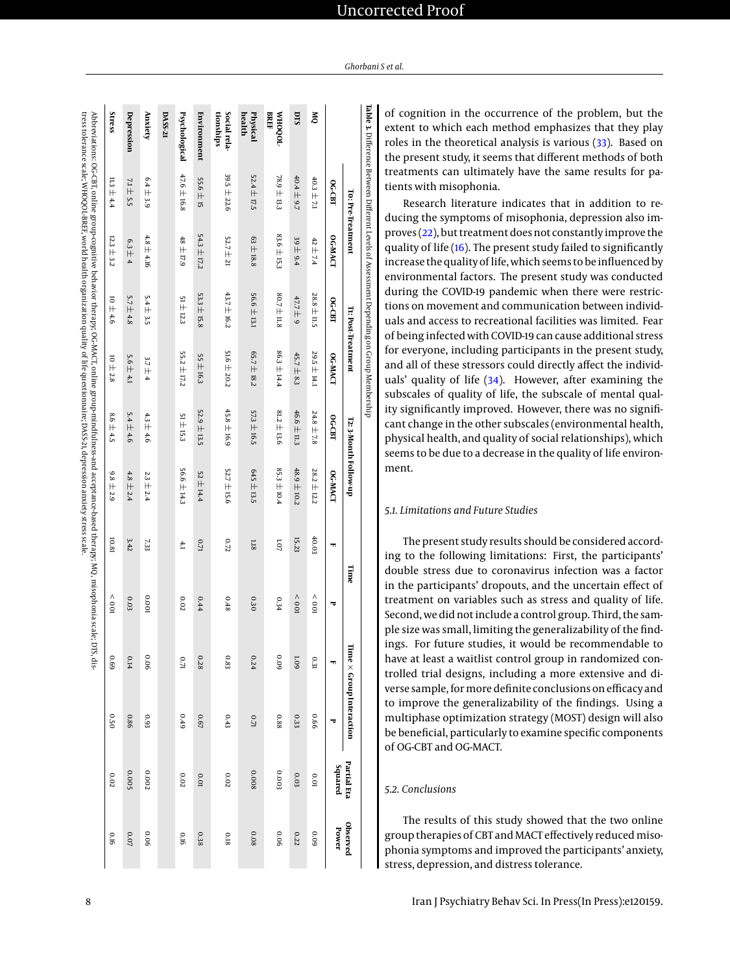<span id="page-7-0"></span>

|               |                                                                                                                                                  |                   |                 |                    |                                                                                                 |                              |                                                                                                                                        |                   |                                                                                                                                                            |                                 | <b>Observed</b> |
|---------------|--------------------------------------------------------------------------------------------------------------------------------------------------|-------------------|-----------------|--------------------|-------------------------------------------------------------------------------------------------|------------------------------|----------------------------------------------------------------------------------------------------------------------------------------|-------------------|------------------------------------------------------------------------------------------------------------------------------------------------------------|---------------------------------|-----------------|
| <b>OG-CBI</b> | OG-MACT                                                                                                                                          | OG-CBT            | OG-MACT         | OG-CBT             | OG-MACI                                                                                         | m                            | ᠊ᡆ                                                                                                                                     |                   | ъ                                                                                                                                                          | Squared                         | Power           |
|               | $42 \pm 7.4$                                                                                                                                     | $28.8 \pm 11.5$   | 29.5 ± 14.1     | $24.8 \pm 7.8$     | $28.2 \pm 12.2$                                                                                 | 40.03                        | $\sim 001$                                                                                                                             | 0.31              | 99'0                                                                                                                                                       | 0.01                            | 600             |
|               | $39 \pm 9.4$                                                                                                                                     | 47.7 ± 9          | 45.7 ± 8.3      | $46.6 \pm 11.3$    | $48.9 \pm 10.2$                                                                                 | 15.23                        | $\sim 001$                                                                                                                             | <b>60T</b>        | 0.33                                                                                                                                                       | 0.03                            | 0.22            |
|               | 83.6 ± 15.3                                                                                                                                      | 80.7 ± 11.8       | $86.3 \pm 14.4$ | $81.2 \pm 13.6$    | 85.3 ± 10.4                                                                                     | 1.07                         | 0.34                                                                                                                                   | 600               | 88.0                                                                                                                                                       | 0.003                           | 90'0            |
|               | $63 \pm 18.8$                                                                                                                                    | $56.6 \pm 13.1$   | 65.7 ± 18.2     | $57.3 \pm 16.5$    | 645 ± 13.5                                                                                      | 81.18                        | 030                                                                                                                                    | 0.24              | $0.71\,$                                                                                                                                                   | 800'0                           | 0.08            |
|               | $52.7 \pm 21$                                                                                                                                    | 43.7 ± 16.2       | 51.6 $\pm$ 20.2 | 45.8 ± 16.9        | 52.7 ± 15.6                                                                                     | 0.72                         | 0.48                                                                                                                                   | 0.83              | 0.43                                                                                                                                                       | $0.02\,$                        | 810             |
|               | $54.3 \pm 17.2$                                                                                                                                  | $53.3 \pm 15.8$   | 55 ± 16.3       | $52.9 \pm 13.5$    | $52 \pm 14.4$                                                                                   | U.71                         | 0.44                                                                                                                                   | $0.28\,$          | <b>0.67</b>                                                                                                                                                | 10.01                           | 0.38            |
|               | $48 \pm 17.9$                                                                                                                                    | $51 \pm 12.3$     | $55.2 \pm 17.2$ | 51 ± 153           | $56.6 \pm 14.3$                                                                                 | 4.1                          | 0.02                                                                                                                                   | $\overline{0.71}$ | 0.49                                                                                                                                                       | $0.02\,$                        | 910             |
|               |                                                                                                                                                  |                   |                 |                    |                                                                                                 |                              |                                                                                                                                        |                   |                                                                                                                                                            |                                 |                 |
|               | $4.8 \pm 4.16$                                                                                                                                   | $5.4 \pm 3.5$     | $3.7 \pm 4$     | $4.3 \pm 4.6$      | $23 \pm 2.4$                                                                                    | 7.33                         | 100'0                                                                                                                                  | 90.0              | £60                                                                                                                                                        | 0.002                           | 0.06            |
| 7.1 土 5.5     | $6.3 \pm 4$                                                                                                                                      | $5.7 \pm 4.8$     | $5.6 \pm 4.1$   | $5.4 \pm 4.6$      | $4.8 \pm 2.4$                                                                                   | 3.42                         | 0.03                                                                                                                                   | 0.14              | 0.86                                                                                                                                                       | 0.005                           | $0.07\,$        |
|               | $12.3 \pm 3.2$                                                                                                                                   | $10 \pm 4.6$      | $10 \pm 2.8$    | $8.6 \pm 4.5$      | $9.8 \pm 2.9$                                                                                   | 10.81                        | $\sim 001$                                                                                                                             | 690               | 050                                                                                                                                                        | 0.02                            | 910             |
|               |                                                                                                                                                  |                   |                 |                    |                                                                                                 |                              |                                                                                                                                        | .<br>ناڭ          |                                                                                                                                                            |                                 |                 |
|               | $39.5 \pm 22.6$<br>47.6 ± 16.8<br>$52.4 \pm 17.5$<br>$40.4 \pm 9.7$<br>78.9 ± 13.3<br>40.3 ± 7.1<br>$11.3 \pm 4.4$<br>$6.4 \pm 3.9$<br>55.6 土 15 | T0: Pre-Treatment |                 | It: Post-Treatment | <b>Table 3.</b> Difference Between Different Levels of Assessment Depending on Group Membership | <b>12: 3-Month Follow-up</b> | tress tolerance scale; WHOQOL-BREF, world health organization quality of life questionnaire; DASS-21, depression anxiety stress scale. | Time              | Abbreviations: OG-CBT, online group-cognitive behavior therapy; OG-MACT, online group-mindfulness-and acceptance-based therapy; MQ, misophonia scale; DTS, | Time $\times$ Group Interaction | __ Partial Eta  |

of cognition in the occurrence of the problem, but the extent to which each method emphasizes that they play roles in the theoretical analysis is various [\(33\)](#page-9-5). Based on the present study, it seems that different methods of both treatments can ultimately have the same results for patients with misophonia.

Research literature indicates that in addition to reducing the symptoms of misophonia, depression also improves [\(22\)](#page-8-16), but treatment does not constantly improve the quality of life [\(16\)](#page-8-22). The present study failed to significantly increase the quality of life, which seems to be influenced by environmental factors. The present study was conducted during the COVID-19 pandemic when there were restrictions on movement and communication between individuals and access to recreational facilities was limited. Fear of being infected with COVID-19 can cause additional stress for everyone, including participants in the present study, and all of these stressors could directly affect the individuals' quality of life [\(34\)](#page-9-6). However, after examining the subscales of quality of life, the subscale of mental quality significantly improved. However, there was no significant change in the other subscales (environmental health, physical health, and quality of social relationships), which seems to be due to a decrease in the quality of life environment.

# *5.1. Limitations and Future Studies*

The present study results should be considered according to the following limitations: First, the participants' double stress due to coronavirus infection was a factor in the participants' dropouts, and the uncertain effect of treatment on variables such as stress and quality of life. Second, we did not include a control group. Third, the sample size was small, limiting the generalizability of the findings. For future studies, it would be recommendable to have at least a waitlist control group in randomized controlled trial designs, including a more extensive and diverse sample, for more definite conclusions on efficacy and to improve the generalizability of the findings. Using a multiphase optimization strategy (MOST) design will also be beneficial, particularly to examine specific components of OG-CBT and OG-MACT.

# *5.2. Conclusions*

The results of this study showed that the two online group therapies of CBT and MACT effectively reduced misophonia symptoms and improved the participants' anxiety, stress, depression, and distress tolerance.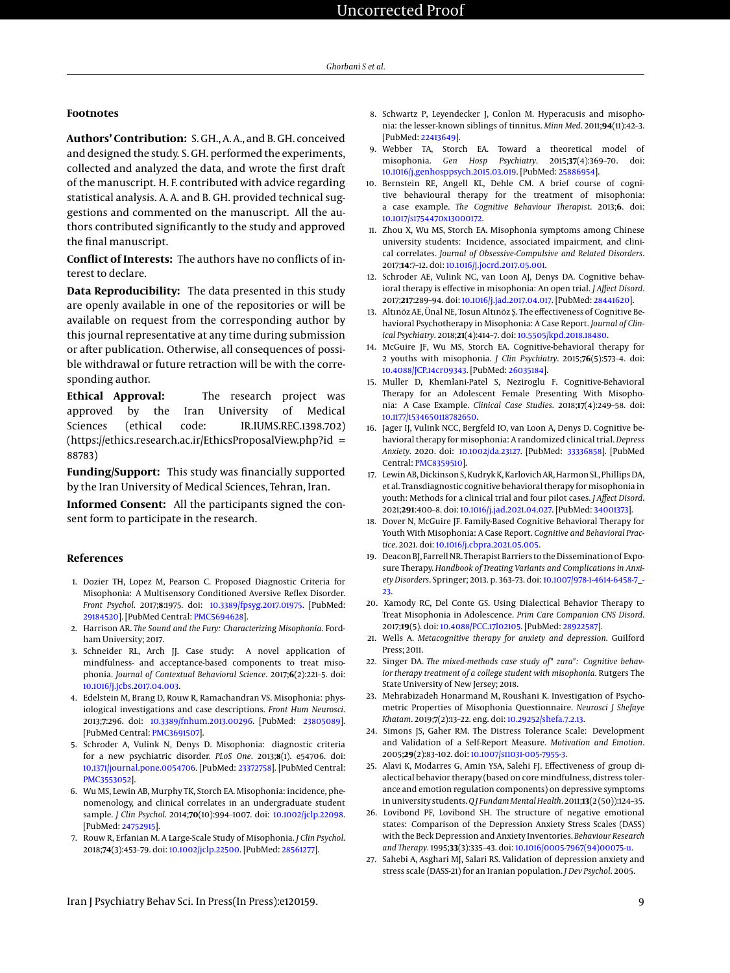# **Footnotes**

**Authors' Contribution:** S. GH., A. A., and B. GH. conceived and designed the study. S. GH. performed the experiments, collected and analyzed the data, and wrote the first draft of the manuscript. H. F. contributed with advice regarding statistical analysis. A. A. and B. GH. provided technical suggestions and commented on the manuscript. All the authors contributed significantly to the study and approved the final manuscript.

**Conflict of Interests:** The authors have no conflicts of interest to declare.

**Data Reproducibility:** The data presented in this study are openly available in one of the repositories or will be available on request from the corresponding author by this journal representative at any time during submission or after publication. Otherwise, all consequences of possible withdrawal or future retraction will be with the corresponding author.

**Ethical Approval:** The research project was approved by the Iran University of Medical Sciences (ethical code: IR.IUMS.REC.1398.702) (https://ethics.research.ac.ir/EthicsProposalView.php?id = 88783)

**Funding/Support:** This study was financially supported by the Iran University of Medical Sciences, Tehran, Iran.

**Informed Consent:** All the participants signed the consent form to participate in the research.

# **References**

- <span id="page-8-0"></span>1. Dozier TH, Lopez M, Pearson C. Proposed Diagnostic Criteria for Misophonia: A Multisensory Conditioned Aversive Reflex Disorder. *Front Psychol*. 2017;**8**:1975. doi: [10.3389/fpsyg.2017.01975.](http://dx.doi.org/10.3389/fpsyg.2017.01975) [PubMed: [29184520\]](http://www.ncbi.nlm.nih.gov/pubmed/29184520). [PubMed Central: [PMC5694628\]](https://www.ncbi.nlm.nih.gov/pmc/articles/PMC5694628).
- <span id="page-8-1"></span>2. Harrison AR. *The Sound and the Fury: Characterizing Misophonia*. Fordham University; 2017.
- <span id="page-8-2"></span>3. Schneider RL, Arch JJ. Case study: A novel application of mindfulness- and acceptance-based components to treat misophonia. *Journal of Contextual Behavioral Science*. 2017;**6**(2):221–5. doi: [10.1016/j.jcbs.2017.04.003.](http://dx.doi.org/10.1016/j.jcbs.2017.04.003)
- <span id="page-8-3"></span>4. Edelstein M, Brang D, Rouw R, Ramachandran VS. Misophonia: physiological investigations and case descriptions. *Front Hum Neurosci*. 2013;**7**:296. doi: [10.3389/fnhum.2013.00296.](http://dx.doi.org/10.3389/fnhum.2013.00296) [PubMed: [23805089\]](http://www.ncbi.nlm.nih.gov/pubmed/23805089). [PubMed Central: [PMC3691507\]](https://www.ncbi.nlm.nih.gov/pmc/articles/PMC3691507).
- <span id="page-8-7"></span>5. Schroder A, Vulink N, Denys D. Misophonia: diagnostic criteria for a new psychiatric disorder. *PLoS One*. 2013;**8**(1). e54706. doi: [10.1371/journal.pone.0054706.](http://dx.doi.org/10.1371/journal.pone.0054706) [PubMed: [23372758\]](http://www.ncbi.nlm.nih.gov/pubmed/23372758). [PubMed Central: [PMC3553052\]](https://www.ncbi.nlm.nih.gov/pmc/articles/PMC3553052).
- <span id="page-8-4"></span>6. Wu MS, Lewin AB, Murphy TK, Storch EA. Misophonia: incidence, phenomenology, and clinical correlates in an undergraduate student sample. *J Clin Psychol*. 2014;**70**(10):994–1007. doi: [10.1002/jclp.22098.](http://dx.doi.org/10.1002/jclp.22098) [PubMed: [24752915\]](http://www.ncbi.nlm.nih.gov/pubmed/24752915).
- <span id="page-8-5"></span>7. Rouw R, Erfanian M. A Large-Scale Study of Misophonia. *J Clin Psychol*. 2018;**74**(3):453–79. doi: [10.1002/jclp.22500.](http://dx.doi.org/10.1002/jclp.22500) [PubMed: [28561277\]](http://www.ncbi.nlm.nih.gov/pubmed/28561277).
- <span id="page-8-6"></span>8. Schwartz P, Leyendecker J, Conlon M. Hyperacusis and misophonia: the lesser-known siblings of tinnitus. *Minn Med*. 2011;**94**(11):42–3. [PubMed: [22413649\]](http://www.ncbi.nlm.nih.gov/pubmed/22413649).
- <span id="page-8-8"></span>9. Webber TA, Storch EA. Toward a theoretical model of misophonia. *Gen Hosp Psychiatry*. 2015;**37**(4):369–70. doi: [10.1016/j.genhosppsych.2015.03.019.](http://dx.doi.org/10.1016/j.genhosppsych.2015.03.019) [PubMed: [25886954\]](http://www.ncbi.nlm.nih.gov/pubmed/25886954).
- <span id="page-8-9"></span>10. Bernstein RE, Angell KL, Dehle CM. A brief course of cognitive behavioural therapy for the treatment of misophonia: a case example. *The Cognitive Behaviour Therapist*. 2013;**6**. doi: [10.1017/s1754470x13000172.](http://dx.doi.org/10.1017/s1754470x13000172)
- <span id="page-8-10"></span>11. Zhou X, Wu MS, Storch EA. Misophonia symptoms among Chinese university students: Incidence, associated impairment, and clinical correlates. *Journal of Obsessive-Compulsive and Related Disorders*. 2017;**14**:7–12. doi: [10.1016/j.jocrd.2017.05.001.](http://dx.doi.org/10.1016/j.jocrd.2017.05.001)
- <span id="page-8-11"></span>12. Schroder AE, Vulink NC, van Loon AJ, Denys DA. Cognitive behavioral therapy is effective in misophonia: An open trial. *J Affect Disord*. 2017;**217**:289–94. doi: [10.1016/j.jad.2017.04.017.](http://dx.doi.org/10.1016/j.jad.2017.04.017) [PubMed: [28441620\]](http://www.ncbi.nlm.nih.gov/pubmed/28441620).
- 13. Altınöz AE, Ünal NE, Tosun Altınöz Ş. The effectiveness of Cognitive Behavioral Psychotherapy in Misophonia: A Case Report. *Journal of Clinical Psychiatry*. 2018;**21**(4):414–7. doi: [10.5505/kpd.2018.18480.](http://dx.doi.org/10.5505/kpd.2018.18480)
- 14. McGuire JF, Wu MS, Storch EA. Cognitive-behavioral therapy for 2 youths with misophonia. *J Clin Psychiatry*. 2015;**76**(5):573–4. doi: [10.4088/JCP.14cr09343.](http://dx.doi.org/10.4088/JCP.14cr09343) [PubMed: [26035184\]](http://www.ncbi.nlm.nih.gov/pubmed/26035184).
- <span id="page-8-23"></span>15. Muller D, Khemlani-Patel S, Neziroglu F. Cognitive-Behavioral Therapy for an Adolescent Female Presenting With Misophonia: A Case Example. *Clinical Case Studies*. 2018;**17**(4):249–58. doi: [10.1177/1534650118782650.](http://dx.doi.org/10.1177/1534650118782650)
- <span id="page-8-22"></span>16. Jager IJ, Vulink NCC, Bergfeld IO, van Loon A, Denys D. Cognitive behavioral therapy for misophonia: A randomized clinical trial. *Depress Anxiety*. 2020. doi: [10.1002/da.23127.](http://dx.doi.org/10.1002/da.23127) [PubMed: [33336858\]](http://www.ncbi.nlm.nih.gov/pubmed/33336858). [PubMed Central: [PMC8359510\]](https://www.ncbi.nlm.nih.gov/pmc/articles/PMC8359510).
- 17. Lewin AB, Dickinson S, Kudryk K, Karlovich AR, Harmon SL, Phillips DA, et al. Transdiagnostic cognitive behavioral therapy for misophonia in youth: Methods for a clinical trial and four pilot cases. *J Affect Disord*. 2021;**291**:400–8. doi: [10.1016/j.jad.2021.04.027.](http://dx.doi.org/10.1016/j.jad.2021.04.027) [PubMed: [34001373\]](http://www.ncbi.nlm.nih.gov/pubmed/34001373).
- <span id="page-8-12"></span>18. Dover N, McGuire JF. Family-Based Cognitive Behavioral Therapy for Youth With Misophonia: A Case Report. *Cognitive and Behavioral Practice*. 2021. doi: [10.1016/j.cbpra.2021.05.005.](http://dx.doi.org/10.1016/j.cbpra.2021.05.005)
- <span id="page-8-13"></span>19. Deacon BJ, Farrell NR. Therapist Barriers to the Dissemination of Exposure Therapy. *Handbook of Treating Variants and Complications in Anxiety Disorders*. Springer; 2013. p. 363–73. doi: [10.1007/978-1-4614-6458-7\\_-](http://dx.doi.org/10.1007/978-1-4614-6458-7_23) [23.](http://dx.doi.org/10.1007/978-1-4614-6458-7_23)
- <span id="page-8-14"></span>20. Kamody RC, Del Conte GS. Using Dialectical Behavior Therapy to Treat Misophonia in Adolescence. *Prim Care Companion CNS Disord*. 2017;**19**(5). doi: [10.4088/PCC.17l02105.](http://dx.doi.org/10.4088/PCC.17l02105) [PubMed: [28922587\]](http://www.ncbi.nlm.nih.gov/pubmed/28922587).
- <span id="page-8-15"></span>21. Wells A. *Metacognitive therapy for anxiety and depression*. Guilford Press; 2011.
- <span id="page-8-16"></span>22. Singer DA. *The mixed-methods case study of" zara": Cognitive behavior therapy treatment of a college student with misophonia*. Rutgers The State University of New Jersey; 2018.
- <span id="page-8-17"></span>23. Mehrabizadeh Honarmand M, Roushani K. Investigation of Psychometric Properties of Misophonia Questionnaire. *Neurosci J Shefaye Khatam*. 2019;**7**(2):13–22. eng. doi: [10.29252/shefa.7.2.13.](http://dx.doi.org/10.29252/shefa.7.2.13)
- <span id="page-8-18"></span>24. Simons JS, Gaher RM. The Distress Tolerance Scale: Development and Validation of a Self-Report Measure. *Motivation and Emotion*. 2005;**29**(2):83–102. doi: [10.1007/s11031-005-7955-3.](http://dx.doi.org/10.1007/s11031-005-7955-3)
- <span id="page-8-19"></span>25. Alavi K, Modarres G, Amin YSA, Salehi FJ. Effectiveness of group dialectical behavior therapy (based on core mindfulness, distress tolerance and emotion regulation components) on depressive symptoms in university students.*Q J Fundam Mental Health*. 2011;**13**(2 (50)):124–35.
- <span id="page-8-20"></span>26. Lovibond PF, Lovibond SH. The structure of negative emotional states: Comparison of the Depression Anxiety Stress Scales (DASS) with the Beck Depression and Anxiety Inventories. *Behaviour Research and Therapy*. 1995;**33**(3):335–43. doi: [10.1016/0005-7967\(94\)00075-u.](http://dx.doi.org/10.1016/0005-7967(94)00075-u)
- <span id="page-8-21"></span>27. Sahebi A, Asghari MJ, Salari RS. Validation of depression anxiety and stress scale (DASS-21) for an Iranian population. *J Dev Psychol*. 2005.

Iran J Psychiatry Behav Sci. In Press(In Press):e120159. 9